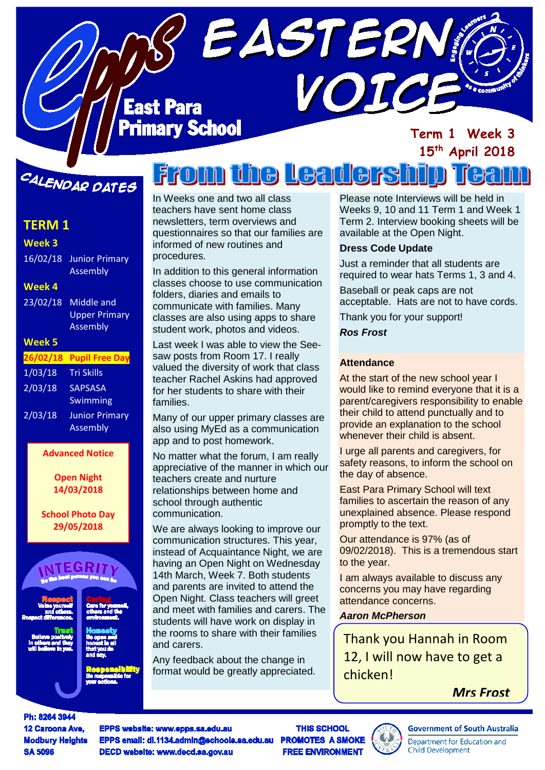### **East Para** mary School

#### **Term 1 Week 3 15th April 2018**

## CALENDAR DATES

#### **TERM 1**

| Week 3        |                       |
|---------------|-----------------------|
| 16/02/18      | <b>Junior Primary</b> |
|               | Assembly              |
| <b>Week 4</b> |                       |
| 23/02/18      | Middle and            |
|               | <b>Upper Primary</b>  |
|               | <b>Assembly</b>       |
|               |                       |
| <b>Week 5</b> |                       |
| 26/02/18      | <b>Pupil Free Day</b> |
| 1/03/18       | <b>Tri Skills</b>     |
| 2/03/18       | <b>SAPSASA</b>        |
|               | <b>Swimming</b>       |
| 2/03/18       | <b>Junior Primary</b> |

**Advanced Notice**

**Open Night 14/03/2018**

#### **School Photo Day 29/05/2018**



# **From the Leaders**

VOIC

EASTERN

In Weeks one and two all class teachers have sent home class newsletters, term overviews and questionnaires so that our families are informed of new routines and procedures.

In addition to this general information classes choose to use communication folders, diaries and emails to communicate with families. Many classes are also using apps to share student work, photos and videos.

Last week I was able to view the Seesaw posts from Room 17. I really valued the diversity of work that class teacher Rachel Askins had approved for her students to share with their families.

Many of our upper primary classes are also using MyEd as a communication app and to post homework.

No matter what the forum, I am really appreciative of the manner in which our teachers create and nurture relationships between home and school through authentic communication.

We are always looking to improve our communication structures. This year, instead of Acquaintance Night, we are having an Open Night on Wednesday 14th March, Week 7. Both students and parents are invited to attend the Open Night. Class teachers will greet and meet with families and carers. The students will have work on display in the rooms to share with their families and carers.

Any feedback about the change in format would be greatly appreciated. Please note Interviews will be held in Weeks 9, 10 and 11 Term 1 and Week 1 Term 2. Interview booking sheets will be available at the Open Night.

#### **Dress Code Update**

Just a reminder that all students are required to wear hats Terms 1, 3 and 4.

Baseball or peak caps are not acceptable. Hats are not to have cords.

Thank you for your support!

#### *Ros Frost*

#### **Attendance**

At the start of the new school year I would like to remind everyone that it is a parent/caregivers responsibility to enable their child to attend punctually and to provide an explanation to the school whenever their child is absent.

I urge all parents and caregivers, for safety reasons, to inform the school on the day of absence.

East Para Primary School will text families to ascertain the reason of any unexplained absence. Please respond promptly to the text.

Our attendance is 97% (as of 09/02/2018). This is a tremendous start to the year.

I am always available to discuss any concerns you may have regarding attendance concerns.

#### *Aaron McPherson*

Thank you Hannah in Room 12, I will now have to get a chicken!

*Mrs Frost*

Ph: 8264 3944 12 Caroona Ave. **Modbury Heights SA 5096** 

EPPS website: www.epps.sa.edu.au EPPS email: dl.1134.admin@schools.sa.edu.au DECD website: www.decd.sa.gov.au

**THIS SCHOOL PROMOTES A SMOKE FREE ENVIRONMENT** 

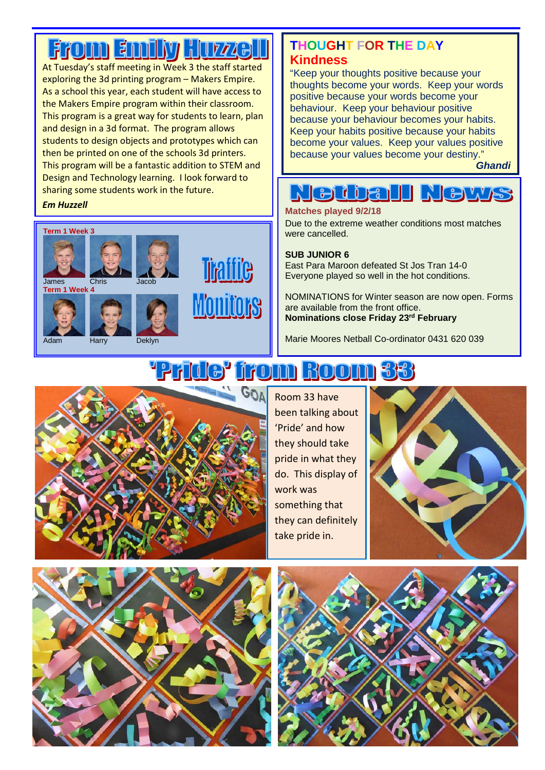# **From Emiliy Huzzell**

At Tuesday's staff meeting in Week 3 the staff started exploring the 3d printing program – Makers Empire. As a school this year, each student will have access to the Makers Empire program within their classroom. This program is a great way for students to learn, plan and design in a 3d format. The program allows students to design objects and prototypes which can then be printed on one of the schools 3d printers. This program will be a fantastic addition to STEM and Design and Technology learning. I look forward to sharing some students work in the future.



#### **THOUGHT FOR THE DAY Kindness**

"Keep your thoughts positive because your thoughts become your words. Keep your words positive because your words become your behaviour. Keep your behaviour positive because your behaviour becomes your habits. Keep your habits positive because your habits become your values. Keep your values positive because your values become your destiny."

*Ghandi*

#### **Nedball R** CH<sub>1</sub>

### **Em Huzzell Matches played 9/2/18**

Due to the extreme weather conditions most matches were cancelled.

#### **SUB JUNIOR 6**

East Para Maroon defeated St Jos Tran 14-0 Everyone played so well in the hot conditions.

NOMINATIONS for Winter season are now open. Forms are available from the front office. **Nominations close Friday 23rd February**

Marie Moores Netball Co-ordinator 0431 620 039

# **from Room 33**



Room 33 have been talking about 'Pride' and how they should take pride in what they do. This display of work was something that they can definitely take pride in.





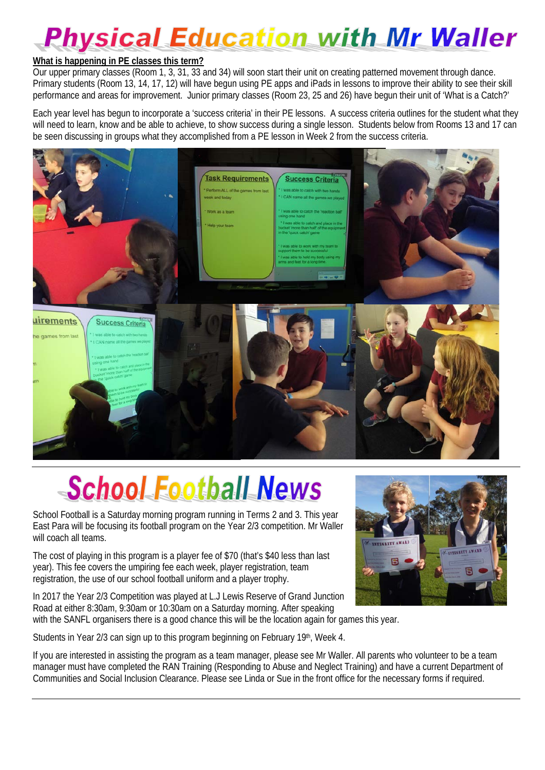# **Physical Education with Mr Waller**

#### **What is happening in PE classes this term?**

Our upper primary classes (Room 1, 3, 31, 33 and 34) will soon start their unit on creating patterned movement through dance. Primary students (Room 13, 14, 17, 12) will have begun using PE apps and iPads in lessons to improve their ability to see their skill performance and areas for improvement. Junior primary classes (Room 23, 25 and 26) have begun their unit of 'What is a Catch?'

Each year level has begun to incorporate a 'success criteria' in their PE lessons. A success criteria outlines for the student what they will need to learn, know and be able to achieve, to show success during a single lesson. Students below from Rooms 13 and 17 can be seen discussing in groups what they accomplished from a PE lesson in Week 2 from the success criteria.



# School Football News

School Football is a Saturday morning program running in Terms 2 and 3. This year East Para will be focusing its football program on the Year 2/3 competition. Mr Waller will coach all teams.

The cost of playing in this program is a player fee of \$70 (that's \$40 less than last year). This fee covers the umpiring fee each week, player registration, team registration, the use of our school football uniform and a player trophy.

In 2017 the Year 2/3 Competition was played at L.J Lewis Reserve of Grand Junction Road at either 8:30am, 9:30am or 10:30am on a Saturday morning. After speaking with the SANFL organisers there is a good chance this will be the location again for games this year.

Students in Year 2/3 can sign up to this program beginning on February 19th, Week 4.

If you are interested in assisting the program as a team manager, please see Mr Waller. All parents who volunteer to be a team manager must have completed the RAN Training (Responding to Abuse and Neglect Training) and have a current Department of Communities and Social Inclusion Clearance. Please see Linda or Sue in the front office for the necessary forms if required.